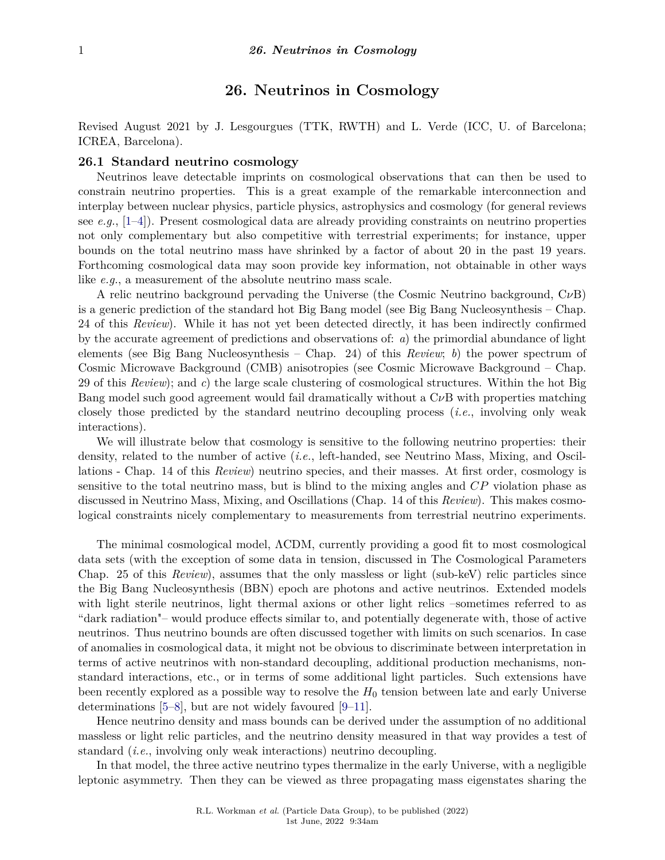# **26. Neutrinos in Cosmology**

Revised August 2021 by J. Lesgourgues (TTK, RWTH) and L. Verde (ICC, U. of Barcelona; ICREA, Barcelona).

# **26.1 Standard neutrino cosmology**

Neutrinos leave detectable imprints on cosmological observations that can then be used to constrain neutrino properties. This is a great example of the remarkable interconnection and interplay between nuclear physics, particle physics, astrophysics and cosmology (for general reviews see *e.g.*, [\[1–](#page-9-0)[4\]](#page-9-1)). Present cosmological data are already providing constraints on neutrino properties not only complementary but also competitive with terrestrial experiments; for instance, upper bounds on the total neutrino mass have shrinked by a factor of about 20 in the past 19 years. Forthcoming cosmological data may soon provide key information, not obtainable in other ways like *e.g.*, a measurement of the absolute neutrino mass scale.

A relic neutrino background pervading the Universe (the Cosmic Neutrino background, C*ν*B) is a generic prediction of the standard hot Big Bang model (see Big Bang Nucleosynthesis – Chap. 24 of this *Review*). While it has not yet been detected directly, it has been indirectly confirmed by the accurate agreement of predictions and observations of: *a*) the primordial abundance of light elements (see Big Bang Nucleosynthesis – Chap. 24) of this *Review*; *b*) the power spectrum of Cosmic Microwave Background (CMB) anisotropies (see Cosmic Microwave Background – Chap. 29 of this *Review*); and *c*) the large scale clustering of cosmological structures. Within the hot Big Bang model such good agreement would fail dramatically without a C*ν*B with properties matching closely those predicted by the standard neutrino decoupling process (*i.e.*, involving only weak interactions).

We will illustrate below that cosmology is sensitive to the following neutrino properties: their density, related to the number of active (*i.e.*, left-handed, see Neutrino Mass, Mixing, and Oscillations - Chap. 14 of this *Review*) neutrino species, and their masses. At first order, cosmology is sensitive to the total neutrino mass, but is blind to the mixing angles and *CP* violation phase as discussed in Neutrino Mass, Mixing, and Oscillations (Chap. 14 of this *Review*). This makes cosmological constraints nicely complementary to measurements from terrestrial neutrino experiments.

The minimal cosmological model, ΛCDM, currently providing a good fit to most cosmological data sets (with the exception of some data in tension, discussed in The Cosmological Parameters Chap. 25 of this *Review*), assumes that the only massless or light (sub-keV) relic particles since the Big Bang Nucleosynthesis (BBN) epoch are photons and active neutrinos. Extended models with light sterile neutrinos, light thermal axions or other light relics –sometimes referred to as "dark radiation"– would produce effects similar to, and potentially degenerate with, those of active neutrinos. Thus neutrino bounds are often discussed together with limits on such scenarios. In case of anomalies in cosmological data, it might not be obvious to discriminate between interpretation in terms of active neutrinos with non-standard decoupling, additional production mechanisms, nonstandard interactions, etc., or in terms of some additional light particles. Such extensions have been recently explored as a possible way to resolve the *H*<sup>0</sup> tension between late and early Universe determinations [\[5–](#page-9-2)[8\]](#page-9-3), but are not widely favoured [\[9–](#page-9-4)[11\]](#page-9-5).

Hence neutrino density and mass bounds can be derived under the assumption of no additional massless or light relic particles, and the neutrino density measured in that way provides a test of standard (*i.e.*, involving only weak interactions) neutrino decoupling.

In that model, the three active neutrino types thermalize in the early Universe, with a negligible leptonic asymmetry. Then they can be viewed as three propagating mass eigenstates sharing the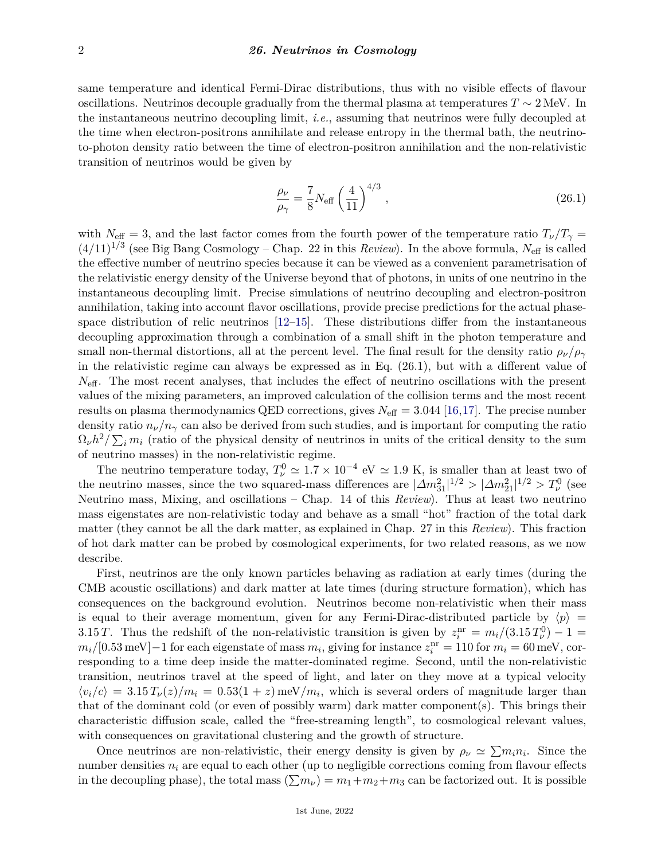same temperature and identical Fermi-Dirac distributions, thus with no visible effects of flavour oscillations. Neutrinos decouple gradually from the thermal plasma at temperatures  $T \sim 2 \text{ MeV}$ . In the instantaneous neutrino decoupling limit, *i.e.*, assuming that neutrinos were fully decoupled at the time when electron-positrons annihilate and release entropy in the thermal bath, the neutrinoto-photon density ratio between the time of electron-positron annihilation and the non-relativistic transition of neutrinos would be given by

$$
\frac{\rho_{\nu}}{\rho_{\gamma}} = \frac{7}{8} N_{\text{eff}} \left( \frac{4}{11} \right)^{4/3},\tag{26.1}
$$

with  $N_{\text{eff}} = 3$ , and the last factor comes from the fourth power of the temperature ratio  $T_{\nu}/T_{\gamma} =$  $(4/11)^{1/3}$  (see Big Bang Cosmology – Chap. 22 in this *Review*). In the above formula,  $N_{\text{eff}}$  is called the effective number of neutrino species because it can be viewed as a convenient parametrisation of the relativistic energy density of the Universe beyond that of photons, in units of one neutrino in the instantaneous decoupling limit. Precise simulations of neutrino decoupling and electron-positron annihilation, taking into account flavor oscillations, provide precise predictions for the actual phasespace distribution of relic neutrinos [\[12–](#page-10-0)[15\]](#page-10-1). These distributions differ from the instantaneous decoupling approximation through a combination of a small shift in the photon temperature and small non-thermal distortions, all at the percent level. The final result for the density ratio  $\rho_{\nu}/\rho_{\gamma}$ in the relativistic regime can always be expressed as in Eq. (26.1), but with a different value of  $N_{\text{eff}}$ . The most recent analyses, that includes the effect of neutrino oscillations with the present values of the mixing parameters, an improved calculation of the collision terms and the most recent results on plasma thermodynamics QED corrections, gives  $N_{\text{eff}} = 3.044$  [\[16,](#page-10-2)[17\]](#page-10-3). The precise number density ratio  $n_{\nu}/n_{\gamma}$  can also be derived from such studies, and is important for computing the ratio  $\Omega_{\nu}h^2/\sum_i m_i$  (ratio of the physical density of neutrinos in units of the critical density to the sum of neutrino masses) in the non-relativistic regime.

The neutrino temperature today,  $T_{\nu}^0 \simeq 1.7 \times 10^{-4}$  eV  $\simeq 1.9$  K, is smaller than at least two of the neutrino masses, since the two squared-mass differences are  $|\Delta m_{31}^2|^{1/2} > |\Delta m_{21}^2|^{1/2} > T_{\nu}^0$  (see Neutrino mass, Mixing, and oscillations – Chap. 14 of this *Review*). Thus at least two neutrino mass eigenstates are non-relativistic today and behave as a small "hot" fraction of the total dark matter (they cannot be all the dark matter, as explained in Chap. 27 in this *Review*). This fraction of hot dark matter can be probed by cosmological experiments, for two related reasons, as we now describe.

First, neutrinos are the only known particles behaving as radiation at early times (during the CMB acoustic oscillations) and dark matter at late times (during structure formation), which has consequences on the background evolution. Neutrinos become non-relativistic when their mass is equal to their average momentum, given for any Fermi-Dirac-distributed particle by  $\langle p \rangle$  = 3.15 *T*. Thus the redshift of the non-relativistic transition is given by  $z_i^{\text{nr}} = m_i/(3.15 T_\nu^0) - 1 =$  $m_i$ <sup>*/*</sup>[0.53 meV]−1 for each eigenstate of mass  $m_i$ , giving for instance  $z_i^{\text{nr}} = 110$  for  $m_i = 60$  meV, corresponding to a time deep inside the matter-dominated regime. Second, until the non-relativistic transition, neutrinos travel at the speed of light, and later on they move at a typical velocity  $\langle v_i/c \rangle = 3.15 T_\nu(z)/m_i = 0.53(1+z)$  meV/m<sub>i</sub>, which is several orders of magnitude larger than that of the dominant cold (or even of possibly warm) dark matter component(s). This brings their characteristic diffusion scale, called the "free-streaming length", to cosmological relevant values, with consequences on gravitational clustering and the growth of structure.

Once neutrinos are non-relativistic, their energy density is given by  $\rho_{\nu} \simeq \sum m_i n_i$ . Since the number densities  $n_i$  are equal to each other (up to negligible corrections coming from flavour effects in the decoupling phase), the total mass  $(\sum m_{\nu}) = m_1 + m_2 + m_3$  can be factorized out. It is possible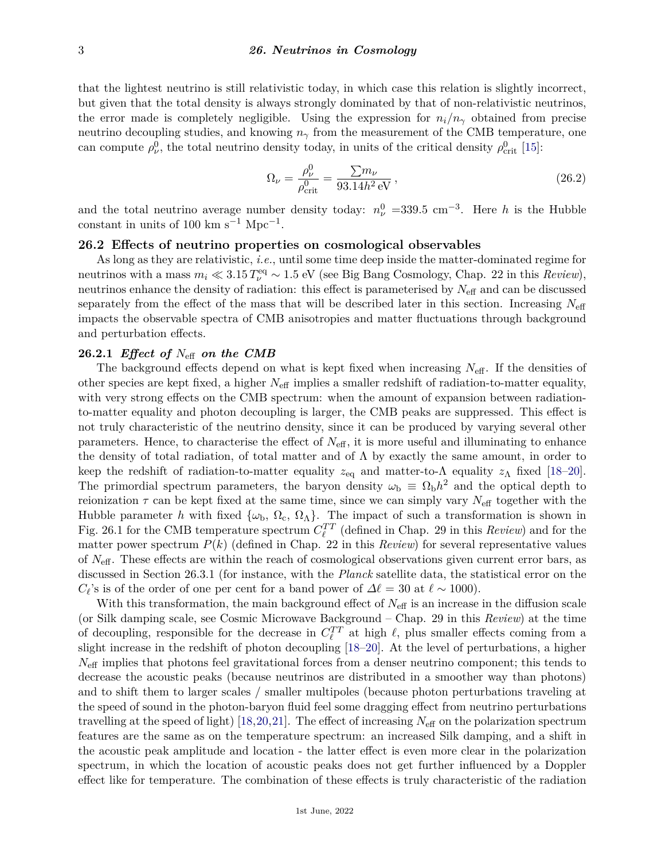that the lightest neutrino is still relativistic today, in which case this relation is slightly incorrect, but given that the total density is always strongly dominated by that of non-relativistic neutrinos, the error made is completely negligible. Using the expression for  $n_i/n_\gamma$  obtained from precise neutrino decoupling studies, and knowing  $n<sub>γ</sub>$  from the measurement of the CMB temperature, one can compute  $\rho_{\nu}^0$ , the total neutrino density today, in units of the critical density  $\rho_{\text{crit}}^0$  [\[15\]](#page-10-1):

$$
\Omega_{\nu} = \frac{\rho_{\nu}^{0}}{\rho_{\rm crit}^{0}} = \frac{\sum m_{\nu}}{93.14h^{2} \text{ eV}},
$$
\n(26.2)

and the total neutrino average number density today:  $n_{\nu}^{0}$  =339.5 cm<sup>-3</sup>. Here *h* is the Hubble constant in units of 100 km s<sup>-1</sup> Mpc<sup>-1</sup>.

# **26.2 Effects of neutrino properties on cosmological observables**

As long as they are relativistic, *i.e.*, until some time deep inside the matter-dominated regime for neutrinos with a mass  $m_i \ll 3.15 T_\nu^{\text{eq}} \sim 1.5 \text{ eV}$  (see Big Bang Cosmology, Chap. 22 in this *Review*), neutrinos enhance the density of radiation: this effect is parameterised by  $N_{\text{eff}}$  and can be discussed separately from the effect of the mass that will be described later in this section. Increasing *N*eff impacts the observable spectra of CMB anisotropies and matter fluctuations through background and perturbation effects.

# **26.2.1** *Effect of N*eff *on the CMB*

The background effects depend on what is kept fixed when increasing *N*eff. If the densities of other species are kept fixed, a higher *N*eff implies a smaller redshift of radiation-to-matter equality, with very strong effects on the CMB spectrum: when the amount of expansion between radiationto-matter equality and photon decoupling is larger, the CMB peaks are suppressed. This effect is not truly characteristic of the neutrino density, since it can be produced by varying several other parameters. Hence, to characterise the effect of *N*eff, it is more useful and illuminating to enhance the density of total radiation, of total matter and of  $\Lambda$  by exactly the same amount, in order to keep the redshift of radiation-to-matter equality  $z_{eq}$  and matter-to- $\Lambda$  equality  $z_{\Lambda}$  fixed [\[18–](#page-10-4)[20\]](#page-10-5). The primordial spectrum parameters, the baryon density  $\omega_{\rm b} \equiv \Omega_{\rm b} h^2$  and the optical depth to reionization  $\tau$  can be kept fixed at the same time, since we can simply vary  $N_{\text{eff}}$  together with the Hubble parameter *h* with fixed  $\{\omega_{b}, \Omega_{c}, \Omega_{\Lambda}\}\$ . The impact of such a transformation is shown in Fig. 26.1 for the CMB temperature spectrum  $C_{\ell}^{TT}$  (defined in Chap. 29 in this *Review*) and for the matter power spectrum  $P(k)$  (defined in Chap. 22 in this *Review*) for several representative values of *N*eff. These effects are within the reach of cosmological observations given current error bars, as discussed in Section 26.3.1 (for instance, with the *Planck* satellite data, the statistical error on the  $C_{\ell}$ 's is of the order of one per cent for a band power of  $\Delta \ell = 30$  at  $\ell \sim 1000$ ).

With this transformation, the main background effect of  $N_{\text{eff}}$  is an increase in the diffusion scale (or Silk damping scale, see Cosmic Microwave Background – Chap. 29 in this *Review*) at the time of decoupling, responsible for the decrease in  $C_{\ell}^{TT}$  at high  $\ell$ , plus smaller effects coming from a slight increase in the redshift of photon decoupling [\[18–](#page-10-4)[20\]](#page-10-5). At the level of perturbations, a higher  $N_{\text{eff}}$  implies that photons feel gravitational forces from a denser neutrino component; this tends to decrease the acoustic peaks (because neutrinos are distributed in a smoother way than photons) and to shift them to larger scales / smaller multipoles (because photon perturbations traveling at the speed of sound in the photon-baryon fluid feel some dragging effect from neutrino perturbations travelling at the speed of light) [\[18,](#page-10-4)[20,](#page-10-5)[21\]](#page-10-6). The effect of increasing  $N_{\text{eff}}$  on the polarization spectrum features are the same as on the temperature spectrum: an increased Silk damping, and a shift in the acoustic peak amplitude and location - the latter effect is even more clear in the polarization spectrum, in which the location of acoustic peaks does not get further influenced by a Doppler effect like for temperature. The combination of these effects is truly characteristic of the radiation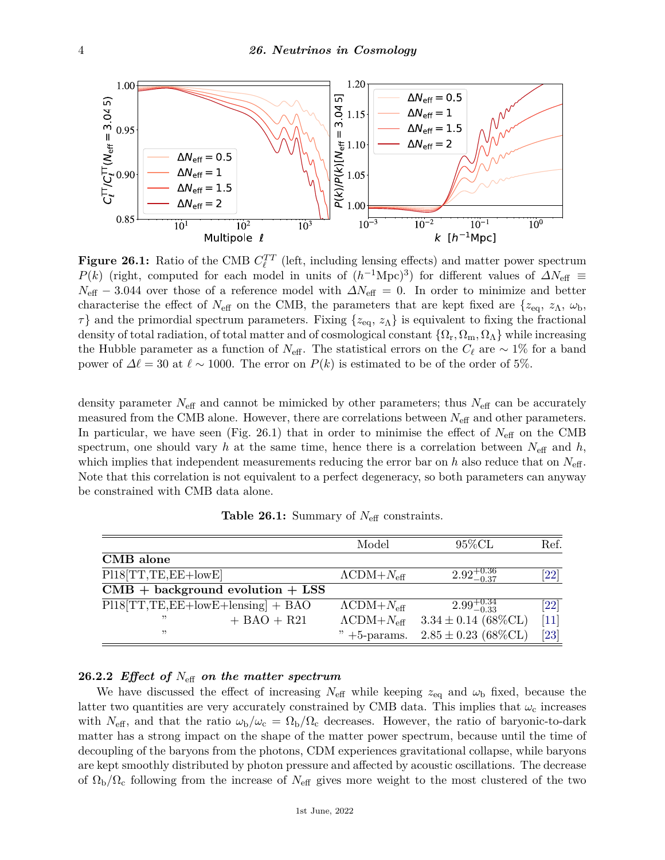

**Figure 26.1:** Ratio of the CMB  $C_{\ell}^{TT}$  (left, including lensing effects) and matter power spectrum *P*(*k*) (right, computed for each model in units of  $(h^{-1}\text{Mpc})^3$ ) for different values of  $\Delta N_{\text{eff}}$  =  $N_{\text{eff}}$  − 3.044 over those of a reference model with  $\Delta N_{\text{eff}} = 0$ . In order to minimize and better characterise the effect of  $N_{\text{eff}}$  on the CMB, the parameters that are kept fixed are  $\{z_{\text{eq}}, z_{\Lambda}, \omega_{\text{b}},$ *τ*} and the primordial spectrum parameters. Fixing  $\{z_{eq}, z_\Lambda\}$  is equivalent to fixing the fractional density of total radiation, of total matter and of cosmological constant  $\{\Omega_r, \Omega_m, \Omega_\Lambda\}$  while increasing the Hubble parameter as a function of  $N_{\text{eff}}$ . The statistical errors on the  $C_{\ell}$  are ∼ 1% for a band power of  $\Delta \ell = 30$  at  $\ell \sim 1000$ . The error on  $P(k)$  is estimated to be of the order of 5%.

density parameter  $N_{\text{eff}}$  and cannot be mimicked by other parameters; thus  $N_{\text{eff}}$  can be accurately measured from the CMB alone. However, there are correlations between *N*eff and other parameters. In particular, we have seen (Fig. 26.1) that in order to minimise the effect of  $N_{\text{eff}}$  on the CMB spectrum, one should vary *h* at the same time, hence there is a correlation between  $N_{\text{eff}}$  and *h*, which implies that independent measurements reducing the error bar on *h* also reduce that on  $N_{\text{eff}}$ . Note that this correlation is not equivalent to a perfect degeneracy, so both parameters can anyway be constrained with CMB data alone.

|                                                  |               | Model                           | $95\%$ CL                            | Ref.               |
|--------------------------------------------------|---------------|---------------------------------|--------------------------------------|--------------------|
| CMB alone                                        |               |                                 |                                      |                    |
| $P118[TT,TE,EE+lowE]$                            |               | $\Lambda$ CDM+ $N_{\text{eff}}$ | $2.92^{+0.36}_{-0.37}$               | [22]               |
| $CMB + background$ evolution + LSS               |               |                                 |                                      |                    |
| $\overline{P118 TT, TE, EE+lowE+lensing]} + BAO$ |               | $\Lambda$ CDM+ $N_{\text{eff}}$ | $2.99^{+0.34}_{-0.33}$               | $\left[ 22\right]$ |
| "                                                | $+$ BAO + R21 | $\Lambda$ CDM+ $N_{\text{eff}}$ | $3.34 \pm 0.14$ (68%CL)              | $[11]$             |
| "                                                |               |                                 | " +5-params. $2.85 \pm 0.23$ (68%CL) | $\left[ 23\right]$ |

**Table 26.1:** Summary of *N*eff constraints.

## **26.2.2** *Effect of N*eff *on the matter spectrum*

We have discussed the effect of increasing  $N_{\text{eff}}$  while keeping  $z_{\text{eq}}$  and  $\omega_{\text{b}}$  fixed, because the latter two quantities are very accurately constrained by CMB data. This implies that  $\omega_c$  increases with  $N_{\text{eff}}$ , and that the ratio  $\omega_{\text{b}}/\omega_{\text{c}} = \Omega_{\text{b}}/\Omega_{\text{c}}$  decreases. However, the ratio of baryonic-to-dark matter has a strong impact on the shape of the matter power spectrum, because until the time of decoupling of the baryons from the photons, CDM experiences gravitational collapse, while baryons are kept smoothly distributed by photon pressure and affected by acoustic oscillations. The decrease of  $\Omega_{\rm b}/\Omega_{\rm c}$  following from the increase of  $N_{\rm eff}$  gives more weight to the most clustered of the two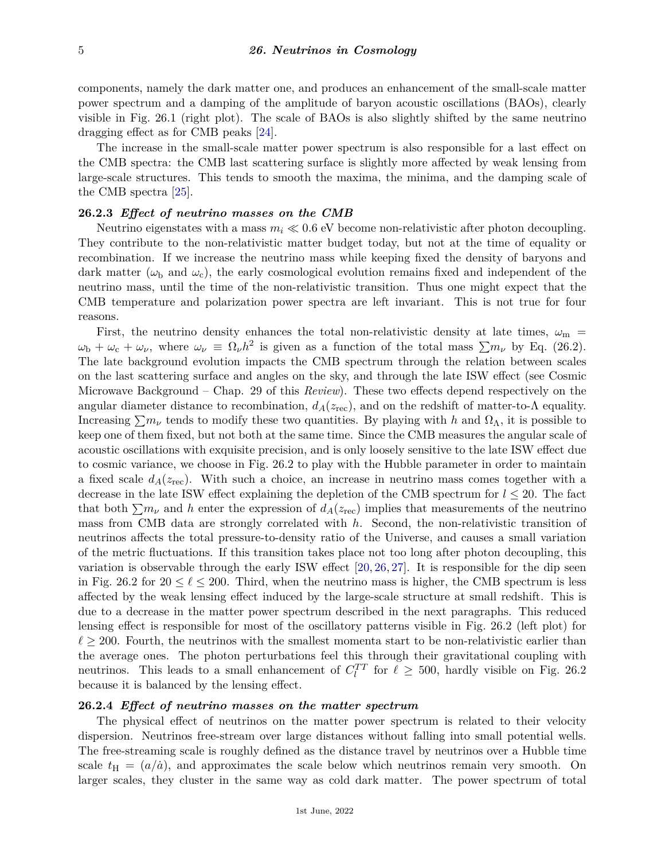components, namely the dark matter one, and produces an enhancement of the small-scale matter power spectrum and a damping of the amplitude of baryon acoustic oscillations (BAOs), clearly visible in Fig. 26.1 (right plot). The scale of BAOs is also slightly shifted by the same neutrino dragging effect as for CMB peaks [\[24\]](#page-10-9).

The increase in the small-scale matter power spectrum is also responsible for a last effect on the CMB spectra: the CMB last scattering surface is slightly more affected by weak lensing from large-scale structures. This tends to smooth the maxima, the minima, and the damping scale of the CMB spectra [\[25\]](#page-10-10).

# **26.2.3** *Effect of neutrino masses on the CMB*

Neutrino eigenstates with a mass  $m_i \ll 0.6$  eV become non-relativistic after photon decoupling. They contribute to the non-relativistic matter budget today, but not at the time of equality or recombination. If we increase the neutrino mass while keeping fixed the density of baryons and dark matter ( $\omega_{\rm b}$  and  $\omega_{\rm c}$ ), the early cosmological evolution remains fixed and independent of the neutrino mass, until the time of the non-relativistic transition. Thus one might expect that the CMB temperature and polarization power spectra are left invariant. This is not true for four reasons.

First, the neutrino density enhances the total non-relativistic density at late times,  $\omega_{\rm m}$  =  $\omega_{\rm b} + \omega_{\rm c} + \omega_{\nu}$ , where  $\omega_{\nu} \equiv \Omega_{\nu} h^2$  is given as a function of the total mass  $\sum m_{\nu}$  by Eq. (26.2). The late background evolution impacts the CMB spectrum through the relation between scales on the last scattering surface and angles on the sky, and through the late ISW effect (see Cosmic Microwave Background – Chap. 29 of this *Review*). These two effects depend respectively on the angular diameter distance to recombination,  $d_A(z_{\text{rec}})$ , and on the redshift of matter-to- $\Lambda$  equality. Increasing  $\sum m_{\nu}$  tends to modify these two quantities. By playing with *h* and  $\Omega_{\Lambda}$ , it is possible to keep one of them fixed, but not both at the same time. Since the CMB measures the angular scale of acoustic oscillations with exquisite precision, and is only loosely sensitive to the late ISW effect due to cosmic variance, we choose in Fig. 26.2 to play with the Hubble parameter in order to maintain a fixed scale  $d_A(z_{\text{rec}})$ . With such a choice, an increase in neutrino mass comes together with a decrease in the late ISW effect explaining the depletion of the CMB spectrum for  $l \leq 20$ . The fact that both  $\sum m_{\nu}$  and *h* enter the expression of  $d_A(z_{\text{rec}})$  implies that measurements of the neutrino mass from CMB data are strongly correlated with *h*. Second, the non-relativistic transition of neutrinos affects the total pressure-to-density ratio of the Universe, and causes a small variation of the metric fluctuations. If this transition takes place not too long after photon decoupling, this variation is observable through the early ISW effect [\[20,](#page-10-5) [26,](#page-10-11) [27\]](#page-10-12). It is responsible for the dip seen in Fig. 26.2 for  $20 \le \ell \le 200$ . Third, when the neutrino mass is higher, the CMB spectrum is less affected by the weak lensing effect induced by the large-scale structure at small redshift. This is due to a decrease in the matter power spectrum described in the next paragraphs. This reduced lensing effect is responsible for most of the oscillatory patterns visible in Fig. 26.2 (left plot) for  $\ell \geq 200$ . Fourth, the neutrinos with the smallest momenta start to be non-relativistic earlier than the average ones. The photon perturbations feel this through their gravitational coupling with neutrinos. This leads to a small enhancement of  $C_l^{TT}$  for  $\ell \geq 500$ , hardly visible on Fig. 26.2 because it is balanced by the lensing effect.

## **26.2.4** *Effect of neutrino masses on the matter spectrum*

The physical effect of neutrinos on the matter power spectrum is related to their velocity dispersion. Neutrinos free-stream over large distances without falling into small potential wells. The free-streaming scale is roughly defined as the distance travel by neutrinos over a Hubble time scale  $t_{\rm H} = (a/a)$ , and approximates the scale below which neutrinos remain very smooth. On larger scales, they cluster in the same way as cold dark matter. The power spectrum of total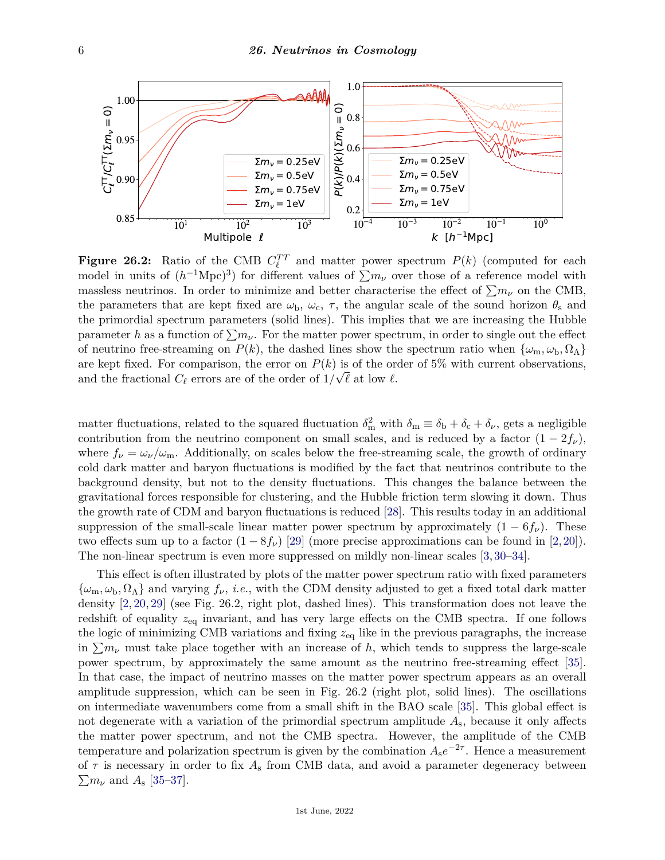

**Figure 26.2:** Ratio of the CMB  $C_{\ell}^{TT}$  and matter power spectrum  $P(k)$  (computed for each model in units of  $(h^{-1}\text{Mpc})^3$  for different values of  $\sum m_{\nu}$  over those of a reference model with massless neutrinos. In order to minimize and better characterise the effect of  $\sum m_{\nu}$  on the CMB, the parameters that are kept fixed are  $\omega_b$ ,  $\omega_c$ ,  $\tau$ , the angular scale of the sound horizon  $\theta_s$  and the primordial spectrum parameters (solid lines). This implies that we are increasing the Hubble parameter *h* as a function of  $\sum m_{\nu}$ . For the matter power spectrum, in order to single out the effect of neutrino free-streaming on  $P(k)$ , the dashed lines show the spectrum ratio when  $\{\omega_m, \omega_b, \Omega_\Lambda\}$ are kept fixed. For comparison, the error on  $P(k)$  is of the order of 5% with current observations, and the fractional  $C_{\ell}$  errors are of the order of  $1/\sqrt{\ell}$  at low  $\ell$ .

matter fluctuations, related to the squared fluctuation  $\delta_m^2$  with  $\delta_m \equiv \delta_b + \delta_c + \delta_\nu$ , gets a negligible contribution from the neutrino component on small scales, and is reduced by a factor  $(1 - 2f_\nu)$ , where  $f_{\nu} = \omega_{\nu}/\omega_{\rm m}$ . Additionally, on scales below the free-streaming scale, the growth of ordinary cold dark matter and baryon fluctuations is modified by the fact that neutrinos contribute to the background density, but not to the density fluctuations. This changes the balance between the gravitational forces responsible for clustering, and the Hubble friction term slowing it down. Thus the growth rate of CDM and baryon fluctuations is reduced [\[28\]](#page-10-13). This results today in an additional suppression of the small-scale linear matter power spectrum by approximately  $(1 - 6f_\nu)$ . These two effects sum up to a factor  $(1 - 8f_\nu)$  [\[29\]](#page-10-14) (more precise approximations can be found in [\[2,](#page-9-6)[20\]](#page-10-5)). The non-linear spectrum is even more suppressed on mildly non-linear scales [\[3,](#page-9-7) [30–](#page-10-15)[34\]](#page-10-16).

This effect is often illustrated by plots of the matter power spectrum ratio with fixed parameters  $\{\omega_m, \omega_b, \Omega_\Lambda\}$  and varying  $f_\nu$ , *i.e.*, with the CDM density adjusted to get a fixed total dark matter density [\[2,](#page-9-6) [20,](#page-10-5) [29\]](#page-10-14) (see Fig. 26.2, right plot, dashed lines). This transformation does not leave the redshift of equality *z*eq invariant, and has very large effects on the CMB spectra. If one follows the logic of minimizing CMB variations and fixing *z*eq like in the previous paragraphs, the increase in  $\sum m_{\nu}$  must take place together with an increase of h, which tends to suppress the large-scale power spectrum, by approximately the same amount as the neutrino free-streaming effect [\[35\]](#page-10-17). In that case, the impact of neutrino masses on the matter power spectrum appears as an overall amplitude suppression, which can be seen in Fig. 26.2 (right plot, solid lines). The oscillations on intermediate wavenumbers come from a small shift in the BAO scale [\[35\]](#page-10-17). This global effect is not degenerate with a variation of the primordial spectrum amplitude *A*s, because it only affects the matter power spectrum, and not the CMB spectra. However, the amplitude of the CMB temperature and polarization spectrum is given by the combination  $A_s e^{-2\tau}$ . Hence a measurement of  $\tau$  is necessary in order to fix  $A_s$  from CMB data, and avoid a parameter degeneracy between  $\sum m_{\nu}$  and  $A_{\rm s}$  [\[35–](#page-10-17)[37\]](#page-10-18).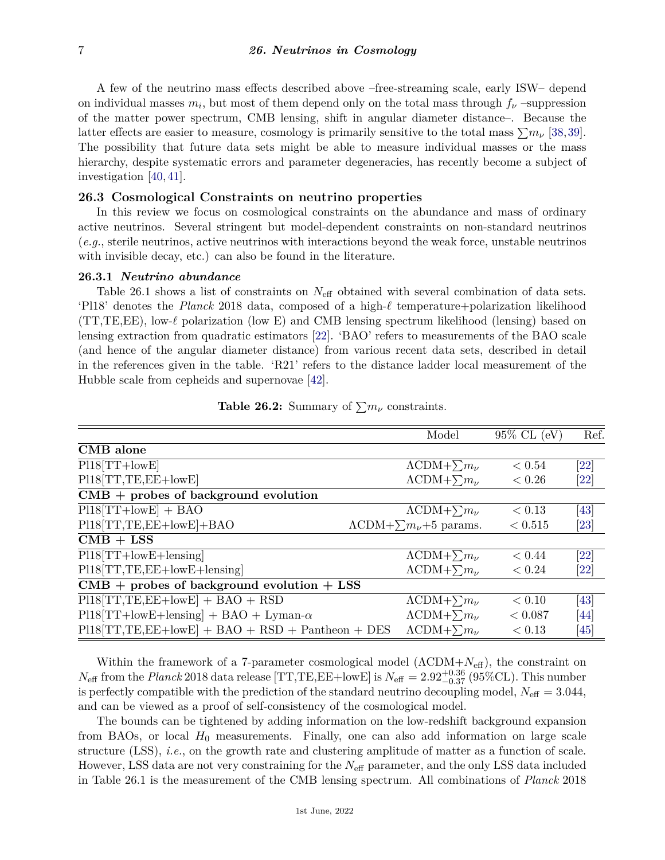A few of the neutrino mass effects described above –free-streaming scale, early ISW– depend on individual masses  $m_i$ , but most of them depend only on the total mass through  $f_\nu$  –suppression of the matter power spectrum, CMB lensing, shift in angular diameter distance–. Because the latter effects are easier to measure, cosmology is primarily sensitive to the total mass  $\sum m_{\nu}$  [\[38,](#page-10-19)[39\]](#page-10-20). The possibility that future data sets might be able to measure individual masses or the mass hierarchy, despite systematic errors and parameter degeneracies, has recently become a subject of investigation [\[40,](#page-10-21) [41\]](#page-10-22).

# **26.3 Cosmological Constraints on neutrino properties**

In this review we focus on cosmological constraints on the abundance and mass of ordinary active neutrinos. Several stringent but model-dependent constraints on non-standard neutrinos (*e.g.*, sterile neutrinos, active neutrinos with interactions beyond the weak force, unstable neutrinos with invisible decay, etc.) can also be found in the literature.

#### **26.3.1** *Neutrino abundance*

Table 26.1 shows a list of constraints on *N*eff obtained with several combination of data sets. 'Pl18' denotes the *Planck* 2018 data, composed of a high-*`* temperature+polarization likelihood (TT,TE,EE), low-*`* polarization (low E) and CMB lensing spectrum likelihood (lensing) based on lensing extraction from quadratic estimators [\[22\]](#page-10-7). 'BAO' refers to measurements of the BAO scale (and hence of the angular diameter distance) from various recent data sets, described in detail in the references given in the table. 'R21' refers to the distance ladder local measurement of the Hubble scale from cepheids and supernovae [\[42\]](#page-10-23).

|                                                    | Model                                    | $95\%$ CL (eV) | Ref.               |
|----------------------------------------------------|------------------------------------------|----------------|--------------------|
| CMB alone                                          |                                          |                |                    |
| $P118[TT+lowE]$                                    | $\Lambda$ CDM+ $\sum m_{\nu}$            | < 0.54         | [22]               |
| $PI18[TT, TE, EE + lowE]$                          | $\Lambda$ CDM+ $\sum m_{\nu}$            | < 0.26         | [22]               |
| $CMB$ + probes of background evolution             |                                          |                |                    |
| $P118[TT+lowE] + BAO$                              | $\Lambda$ CDM+ $\sum m_{\nu}$            | < 0.13         | [43]               |
| $P118 [TT, TE, EE + lowE] + BAO$                   | $\Lambda$ CDM+ $\sum m_{\nu}$ +5 params. | < 0.515        | [23]               |
| $CMB + LSS$                                        |                                          |                |                    |
| $P118[TT+lowE+lensing]$                            | $\Lambda$ CDM+ $\sum m_{\nu}$            | < 0.44         | $\left[ 22\right]$ |
| $P118[TT,TE,EE+lowE+length]$                       | $\Lambda$ CDM+ $\sum m_{\nu}$            | < 0.24         | [22]               |
| $CMB$ + probes of background evolution + LSS       |                                          |                |                    |
| $PI18[TT,TE,EE+lowE] + BAO + RSD$                  | $\Lambda$ CDM+ $\sum m_{\nu}$            | < 0.10         | [43]               |
| $P118[TT+lowE+lensing] + BAO + Lyman-\alpha$       | $\Lambda$ CDM+ $\sum m_{\nu}$            | < 0.087        | [44]               |
| $PI18[TT,TE,EE+lowE] + BAO + RSD + Pantheon + DES$ | $\Lambda$ CDM+ $\sum m_{\nu}$            | < 0.13         | [45]               |
|                                                    |                                          |                |                    |

| <b>Table 26.2:</b> Summary of $\sum m_{\nu}$ constraints. |  |
|-----------------------------------------------------------|--|
|-----------------------------------------------------------|--|

Within the framework of a 7-parameter cosmological model (ΛCDM+*N*eff), the constraint on  $N_{\text{eff}}$  from the *Planck* 2018 data release [TT,TE,EE+lowE] is  $N_{\text{eff}} = 2.92_{-0.37}^{+0.36}$  (95%CL). This number is perfectly compatible with the prediction of the standard neutrino decoupling model,  $N_{\text{eff}} = 3.044$ , and can be viewed as a proof of self-consistency of the cosmological model.

The bounds can be tightened by adding information on the low-redshift background expansion from BAOs, or local  $H_0$  measurements. Finally, one can also add information on large scale structure (LSS), *i.e.*, on the growth rate and clustering amplitude of matter as a function of scale. However, LSS data are not very constraining for the *N*eff parameter, and the only LSS data included in Table 26.1 is the measurement of the CMB lensing spectrum. All combinations of *Planck* 2018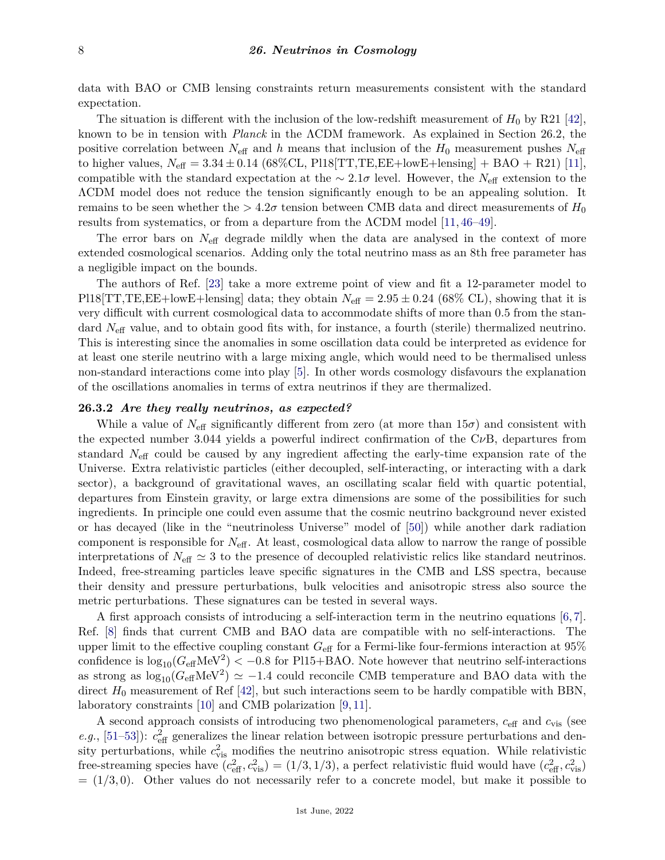data with BAO or CMB lensing constraints return measurements consistent with the standard expectation.

The situation is different with the inclusion of the low-redshift measurement of  $H_0$  by R21 [\[42\]](#page-10-23), known to be in tension with *Planck* in the ΛCDM framework. As explained in Section 26.2, the positive correlation between  $N_{\text{eff}}$  and *h* means that inclusion of the  $H_0$  measurement pushes  $N_{\text{eff}}$ to higher values,  $N_{\text{eff}} = 3.34 \pm 0.14$  (68%CL, Pl18[TT,TE,EE+lowE+lensing] + BAO + R21) [\[11\]](#page-9-5), compatible with the standard expectation at the ∼ 2*.*1*σ* level. However, the *N*eff extension to the ΛCDM model does not reduce the tension significantly enough to be an appealing solution. It remains to be seen whether the  $> 4.2\sigma$  tension between CMB data and direct measurements of  $H_0$ results from systematics, or from a departure from the ΛCDM model [\[11,](#page-9-5) [46–](#page-10-27)[49\]](#page-11-0).

The error bars on  $N_{\text{eff}}$  degrade mildly when the data are analysed in the context of more extended cosmological scenarios. Adding only the total neutrino mass as an 8th free parameter has a negligible impact on the bounds.

The authors of Ref. [\[23\]](#page-10-8) take a more extreme point of view and fit a 12-parameter model to Pl18[TT,TE,EE+lowE+lensing] data; they obtain  $N_{\text{eff}} = 2.95 \pm 0.24$  (68% CL), showing that it is very difficult with current cosmological data to accommodate shifts of more than 0.5 from the standard *N*eff value, and to obtain good fits with, for instance, a fourth (sterile) thermalized neutrino. This is interesting since the anomalies in some oscillation data could be interpreted as evidence for at least one sterile neutrino with a large mixing angle, which would need to be thermalised unless non-standard interactions come into play [\[5\]](#page-9-2). In other words cosmology disfavours the explanation of the oscillations anomalies in terms of extra neutrinos if they are thermalized.

# **26.3.2** *Are they really neutrinos, as expected?*

While a value of  $N_{\text{eff}}$  significantly different from zero (at more than  $15\sigma$ ) and consistent with the expected number 3.044 yields a powerful indirect confirmation of the C*ν*B, departures from standard *N*eff could be caused by any ingredient affecting the early-time expansion rate of the Universe. Extra relativistic particles (either decoupled, self-interacting, or interacting with a dark sector), a background of gravitational waves, an oscillating scalar field with quartic potential, departures from Einstein gravity, or large extra dimensions are some of the possibilities for such ingredients. In principle one could even assume that the cosmic neutrino background never existed or has decayed (like in the "neutrinoless Universe" model of [\[50\]](#page-11-1)) while another dark radiation component is responsible for *N*eff. At least, cosmological data allow to narrow the range of possible interpretations of  $N_{\text{eff}} \simeq 3$  to the presence of decoupled relativistic relics like standard neutrinos. Indeed, free-streaming particles leave specific signatures in the CMB and LSS spectra, because their density and pressure perturbations, bulk velocities and anisotropic stress also source the metric perturbations. These signatures can be tested in several ways.

A first approach consists of introducing a self-interaction term in the neutrino equations [\[6,](#page-9-8) [7\]](#page-9-9). Ref. [\[8\]](#page-9-3) finds that current CMB and BAO data are compatible with no self-interactions. The upper limit to the effective coupling constant *G*eff for a Fermi-like four-fermions interaction at 95% confidence is  $\log_{10}(G_{\text{eff}}\text{MeV}^2) < -0.8$  for Pl15+BAO. Note however that neutrino self-interactions as strong as  $\log_{10}(G_{\text{eff}}\text{MeV}^2) \simeq -1.4$  could reconcile CMB temperature and BAO data with the direct  $H_0$  measurement of Ref  $[42]$ , but such interactions seem to be hardly compatible with BBN, laboratory constraints [\[10\]](#page-9-10) and CMB polarization [\[9,](#page-9-4) [11\]](#page-9-5).

A second approach consists of introducing two phenomenological parameters, *c*eff and *c*vis (see *e.g.*, [\[51–](#page-11-2)[53\]](#page-11-3)):  $c_{\text{eff}}^2$  generalizes the linear relation between isotropic pressure perturbations and density perturbations, while  $c_{\text{vis}}^2$  modifies the neutrino anisotropic stress equation. While relativistic free-streaming species have  $(c_{\text{eff}}^2, c_{\text{vis}}^2) = (1/3, 1/3)$ , a perfect relativistic fluid would have  $(c_{\text{eff}}^2, c_{\text{vis}}^2)$  $= (1/3, 0)$ . Other values do not necessarily refer to a concrete model, but make it possible to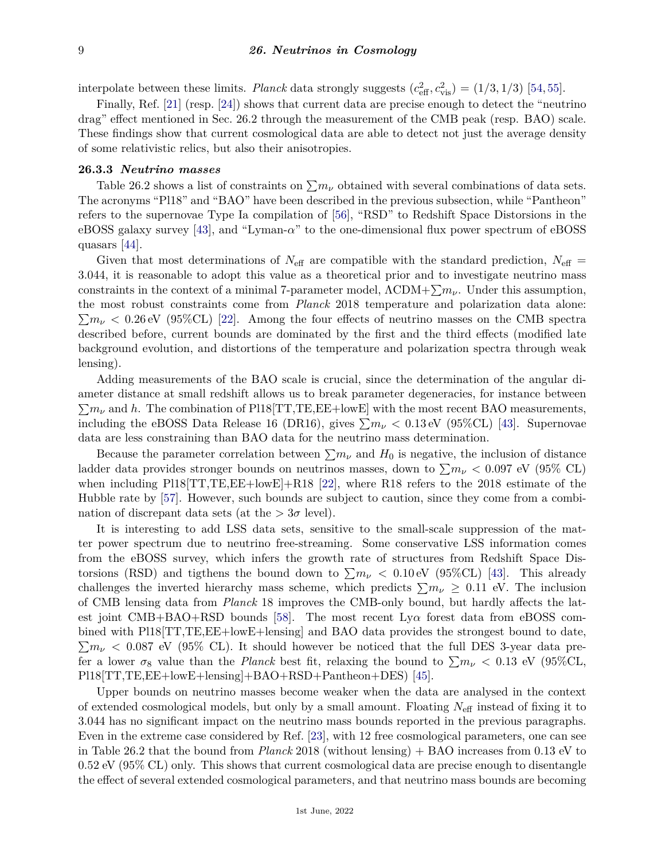interpolate between these limits. *Planck* data strongly suggests  $(c_{\text{eff}}^2, c_{\text{vis}}^2) = (1/3, 1/3)$  [\[54,](#page-11-4) [55\]](#page-11-5).

Finally, Ref. [\[21\]](#page-10-6) (resp. [\[24\]](#page-10-9)) shows that current data are precise enough to detect the "neutrino drag" effect mentioned in Sec. 26.2 through the measurement of the CMB peak (resp. BAO) scale. These findings show that current cosmological data are able to detect not just the average density of some relativistic relics, but also their anisotropies.

# **26.3.3** *Neutrino masses*

Table 26.2 shows a list of constraints on  $\sum m_{\nu}$  obtained with several combinations of data sets. The acronyms "Pl18" and "BAO" have been described in the previous subsection, while "Pantheon" refers to the supernovae Type Ia compilation of [\[56\]](#page-11-6), "RSD" to Redshift Space Distorsions in the eBOSS galaxy survey [\[43\]](#page-10-24), and "Lyman-*α*" to the one-dimensional flux power spectrum of eBOSS quasars [\[44\]](#page-10-25).

Given that most determinations of  $N_{\text{eff}}$  are compatible with the standard prediction,  $N_{\text{eff}}$  = 3*.*044, it is reasonable to adopt this value as a theoretical prior and to investigate neutrino mass constraints in the context of a minimal 7-parameter model,  $\Lambda \text{CDM} + \sum m_{\nu}$ . Under this assumption, the most robust constraints come from *Planck* 2018 temperature and polarization data alone:  $\sum m_{\nu}$  < 0.26 eV (95%CL) [\[22\]](#page-10-7). Among the four effects of neutrino masses on the CMB spectra described before, current bounds are dominated by the first and the third effects (modified late background evolution, and distortions of the temperature and polarization spectra through weak lensing).

Adding measurements of the BAO scale is crucial, since the determination of the angular diameter distance at small redshift allows us to break parameter degeneracies, for instance between  $\sum m_{\nu}$  and h. The combination of Pl18[TT,TE,EE+lowE] with the most recent BAO measurements, including the eBOSS Data Release 16 (DR16), gives  $\sum m_{\nu} < 0.13 \text{ eV}$  (95%CL) [\[43\]](#page-10-24). Supernovae data are less constraining than BAO data for the neutrino mass determination.

Because the parameter correlation between  $\sum m_{\nu}$  and  $H_0$  is negative, the inclusion of distance ladder data provides stronger bounds on neutrinos masses, down to  $\sum m_{\nu} < 0.097$  eV (95% CL) when including Pl18<sup>[TT,TE,EE+lowE]+R18</sup> [\[22\]](#page-10-7), where R18 refers to the 2018 estimate of the Hubble rate by [\[57\]](#page-11-7). However, such bounds are subject to caution, since they come from a combination of discrepant data sets (at the  $> 3\sigma$  level).

It is interesting to add LSS data sets, sensitive to the small-scale suppression of the matter power spectrum due to neutrino free-streaming. Some conservative LSS information comes from the eBOSS survey, which infers the growth rate of structures from Redshift Space Distorsions (RSD) and tigthens the bound down to  $\sum m_{\nu} < 0.10 \text{ eV}$  (95%CL) [\[43\]](#page-10-24). This already challenges the inverted hierarchy mass scheme, which predicts  $\sum m_{\nu} \geq 0.11$  eV. The inclusion of CMB lensing data from *Planck* 18 improves the CMB-only bound, but hardly affects the latest joint CMB+BAO+RSD bounds [\[58\]](#page-11-8). The most recent Ly*α* forest data from eBOSS combined with Pl18[TT,TE,EE+lowE+lensing] and BAO data provides the strongest bound to date,  $\sum m_{\nu}$  < 0.087 eV (95% CL). It should however be noticed that the full DES 3-year data prefer a lower  $\sigma_8$  value than the *Planck* best fit, relaxing the bound to  $\sum m_\nu < 0.13$  eV (95%CL, Pl18[TT,TE,EE+lowE+lensing]+BAO+RSD+Pantheon+DES) [\[45\]](#page-10-26).

Upper bounds on neutrino masses become weaker when the data are analysed in the context of extended cosmological models, but only by a small amount. Floating *N*eff instead of fixing it to 3.044 has no significant impact on the neutrino mass bounds reported in the previous paragraphs. Even in the extreme case considered by Ref. [\[23\]](#page-10-8), with 12 free cosmological parameters, one can see in Table 26.2 that the bound from *Planck* 2018 (without lensing) + BAO increases from 0.13 eV to 0.52 eV (95% CL) only. This shows that current cosmological data are precise enough to disentangle the effect of several extended cosmological parameters, and that neutrino mass bounds are becoming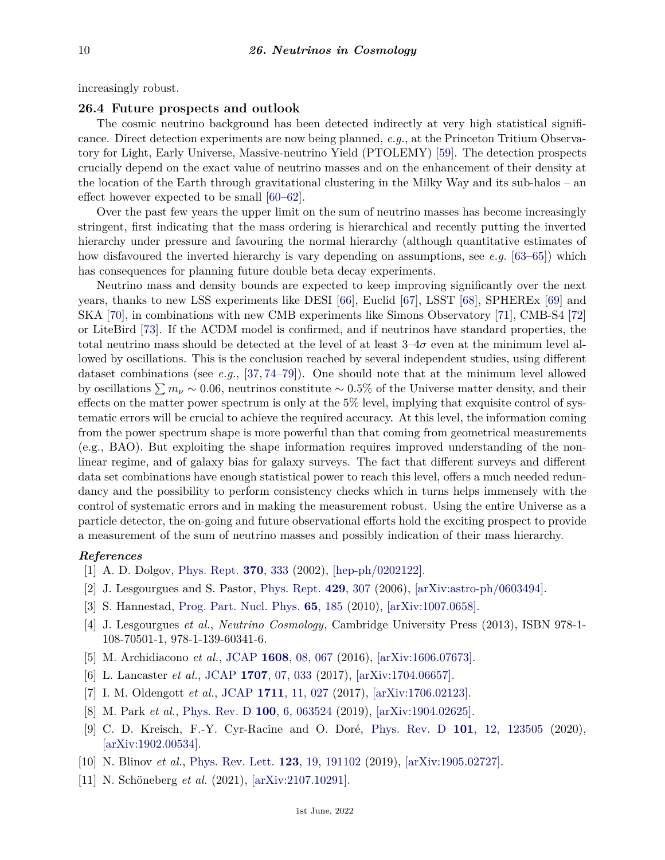increasingly robust.

#### **26.4 Future prospects and outlook**

The cosmic neutrino background has been detected indirectly at very high statistical significance. Direct detection experiments are now being planned, *e.g.*, at the Princeton Tritium Observatory for Light, Early Universe, Massive-neutrino Yield (PTOLEMY) [\[59\]](#page-11-9). The detection prospects crucially depend on the exact value of neutrino masses and on the enhancement of their density at the location of the Earth through gravitational clustering in the Milky Way and its sub-halos – an effect however expected to be small [\[60–](#page-11-10)[62\]](#page-11-11).

Over the past few years the upper limit on the sum of neutrino masses has become increasingly stringent, first indicating that the mass ordering is hierarchical and recently putting the inverted hierarchy under pressure and favouring the normal hierarchy (although quantitative estimates of how disfavoured the inverted hierarchy is vary depending on assumptions, see *e.g.* [\[63](#page-11-12)[–65\]](#page-11-13)) which has consequences for planning future double beta decay experiments.

Neutrino mass and density bounds are expected to keep improving significantly over the next years, thanks to new LSS experiments like DESI [\[66\]](#page-11-14), Euclid [\[67\]](#page-11-15), LSST [\[68\]](#page-11-16), SPHEREx [\[69\]](#page-11-17) and SKA [\[70\]](#page-11-18), in combinations with new CMB experiments like Simons Observatory [\[71\]](#page-11-19), CMB-S4 [\[72\]](#page-11-20) or LiteBird [\[73\]](#page-11-21). If the ΛCDM model is confirmed, and if neutrinos have standard properties, the total neutrino mass should be detected at the level of at least  $3-4\sigma$  even at the minimum level allowed by oscillations. This is the conclusion reached by several independent studies, using different dataset combinations (see *e.g.*, [\[37,](#page-10-18) [74](#page-11-22)[–79\]](#page-11-23)). One should note that at the minimum level allowed by oscillations  $\sum m_{\nu} \sim 0.06$ , neutrinos constitute ~ 0.5% of the Universe matter density, and their effects on the matter power spectrum is only at the 5% level, implying that exquisite control of systematic errors will be crucial to achieve the required accuracy. At this level, the information coming from the power spectrum shape is more powerful than that coming from geometrical measurements (e.g., BAO). But exploiting the shape information requires improved understanding of the nonlinear regime, and of galaxy bias for galaxy surveys. The fact that different surveys and different data set combinations have enough statistical power to reach this level, offers a much needed redundancy and the possibility to perform consistency checks which in turns helps immensely with the control of systematic errors and in making the measurement robust. Using the entire Universe as a particle detector, the on-going and future observational efforts hold the exciting prospect to provide a measurement of the sum of neutrino masses and possibly indication of their mass hierarchy.

### <span id="page-9-0"></span>*References*

- [1] A. D. Dolgov, [Phys. Rept.](http://doi.org/10.1016/S0370-1573(02)00139-4) **370**[, 333](http://doi.org/10.1016/S0370-1573(02)00139-4) (2002), [\[hep-ph/0202122\].](https://arxiv.org/abs/hep-ph/0202122)
- <span id="page-9-6"></span>[2] J. Lesgourgues and S. Pastor, [Phys. Rept.](http://doi.org/10.1016/j.physrep.2006.04.001) **429**[, 307](http://doi.org/10.1016/j.physrep.2006.04.001) (2006), [\[arXiv:astro-ph/0603494\].](https://arxiv.org/abs/astro-ph/0603494)
- <span id="page-9-7"></span>[3] S. Hannestad, [Prog. Part. Nucl. Phys.](http://doi.org/10.1016/j.ppnp.2010.07.001) **65**[, 185](http://doi.org/10.1016/j.ppnp.2010.07.001) (2010), [\[arXiv:1007.0658\].](https://arxiv.org/abs/1007.0658)
- <span id="page-9-1"></span>[4] J. Lesgourgues *et al.*, *Neutrino Cosmology*, Cambridge University Press (2013), ISBN 978-1- 108-70501-1, 978-1-139-60341-6.
- <span id="page-9-2"></span>[5] M. Archidiacono *et al.*, [JCAP](http://doi.org/10.1088/1475-7516/2016/08/067) **1608**[, 08, 067](http://doi.org/10.1088/1475-7516/2016/08/067) (2016), [\[arXiv:1606.07673\].](https://arxiv.org/abs/1606.07673)
- <span id="page-9-8"></span>[6] L. Lancaster *et al.*, [JCAP](http://doi.org/10.1088/1475-7516/2017/07/033) **1707**[, 07, 033](http://doi.org/10.1088/1475-7516/2017/07/033) (2017), [\[arXiv:1704.06657\].](https://arxiv.org/abs/1704.06657)
- <span id="page-9-9"></span>[7] I. M. Oldengott *et al.*, [JCAP](http://doi.org/10.1088/1475-7516/2017/11/027) **1711**[, 11, 027](http://doi.org/10.1088/1475-7516/2017/11/027) (2017), [\[arXiv:1706.02123\].](https://arxiv.org/abs/1706.02123)
- <span id="page-9-3"></span>[8] M. Park *et al.*, [Phys. Rev. D](http://doi.org/10.1103/PhysRevD.100.063524) **100**[, 6, 063524](http://doi.org/10.1103/PhysRevD.100.063524) (2019), [\[arXiv:1904.02625\].](https://arxiv.org/abs/1904.02625)
- <span id="page-9-4"></span>[9] C. D. Kreisch, F.-Y. Cyr-Racine and O. Doré, [Phys. Rev. D](http://doi.org/10.1103/PhysRevD.101.123505) **101**[, 12, 123505](http://doi.org/10.1103/PhysRevD.101.123505) (2020), [\[arXiv:1902.00534\].](https://arxiv.org/abs/1902.00534)
- <span id="page-9-10"></span>[10] N. Blinov *et al.*, [Phys. Rev. Lett.](http://doi.org/10.1103/PhysRevLett.123.191102) **123**[, 19, 191102](http://doi.org/10.1103/PhysRevLett.123.191102) (2019), [\[arXiv:1905.02727\].](https://arxiv.org/abs/1905.02727)
- <span id="page-9-5"></span>[11] N. Schöneberg *et al.* (2021), [\[arXiv:2107.10291\].](https://arxiv.org/abs/2107.10291)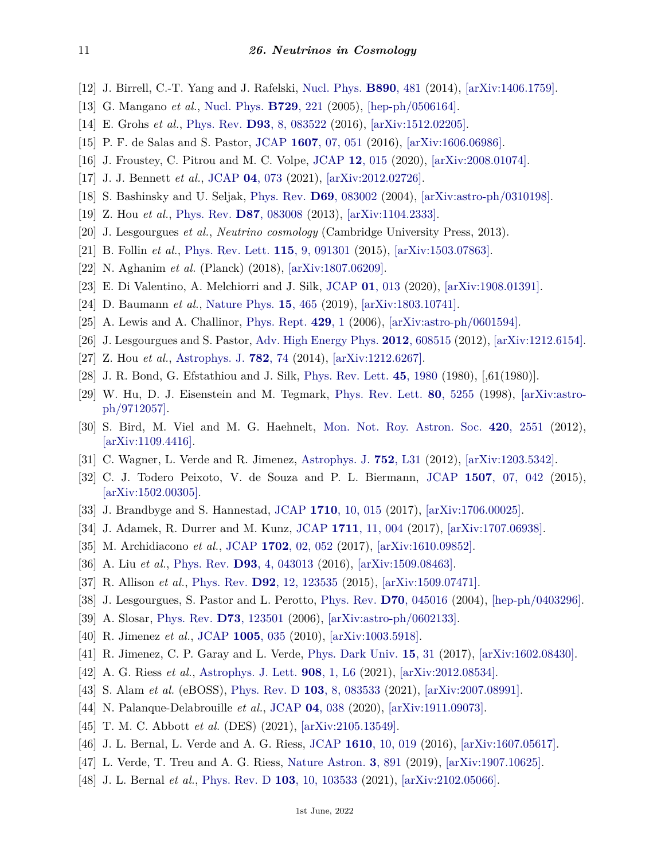- <span id="page-10-0"></span>[12] J. Birrell, C.-T. Yang and J. Rafelski, [Nucl. Phys.](http://doi.org/10.1016/j.nuclphysb.2014.11.020) **[B890](http://doi.org/10.1016/j.nuclphysb.2014.11.020)**, 481 (2014), [\[arXiv:1406.1759\].](https://arxiv.org/abs/1406.1759)
- [13] G. Mangano *et al.*, [Nucl. Phys.](http://doi.org/10.1016/j.nuclphysb.2005.09.041) **[B729](http://doi.org/10.1016/j.nuclphysb.2005.09.041)**, 221 (2005), [\[hep-ph/0506164\].](https://arxiv.org/abs/hep-ph/0506164)
- [14] E. Grohs *et al.*, [Phys. Rev.](http://doi.org/10.1103/PhysRevD.93.083522) **D93**[, 8, 083522](http://doi.org/10.1103/PhysRevD.93.083522) (2016), [\[arXiv:1512.02205\].](https://arxiv.org/abs/1512.02205)
- <span id="page-10-1"></span>[15] P. F. de Salas and S. Pastor, [JCAP](http://doi.org/10.1088/1475-7516/2016/07/051) **1607**[, 07, 051](http://doi.org/10.1088/1475-7516/2016/07/051) (2016), [\[arXiv:1606.06986\].](https://arxiv.org/abs/1606.06986)
- <span id="page-10-2"></span>[16] J. Froustey, C. Pitrou and M. C. Volpe, [JCAP](http://doi.org/10.1088/1475-7516/2020/12/015) **12**[, 015](http://doi.org/10.1088/1475-7516/2020/12/015) (2020), [\[arXiv:2008.01074\].](https://arxiv.org/abs/2008.01074)
- <span id="page-10-3"></span>[17] J. J. Bennett *et al.*, [JCAP](http://doi.org/10.1088/1475-7516/2021/04/073) **04**[, 073](http://doi.org/10.1088/1475-7516/2021/04/073) (2021), [\[arXiv:2012.02726\].](https://arxiv.org/abs/2012.02726)
- <span id="page-10-4"></span>[18] S. Bashinsky and U. Seljak, [Phys. Rev.](http://doi.org/10.1103/PhysRevD.69.083002) **D69**[, 083002](http://doi.org/10.1103/PhysRevD.69.083002) (2004), [\[arXiv:astro-ph/0310198\].](https://arxiv.org/abs/astro-ph/0310198)
- [19] Z. Hou *et al.*, [Phys. Rev.](http://doi.org/10.1103/PhysRevD.87.083008) **D87**[, 083008](http://doi.org/10.1103/PhysRevD.87.083008) (2013), [\[arXiv:1104.2333\].](https://arxiv.org/abs/1104.2333)
- <span id="page-10-5"></span>[20] J. Lesgourgues *et al.*, *Neutrino cosmology* (Cambridge University Press, 2013).
- <span id="page-10-6"></span>[21] B. Follin *et al.*, [Phys. Rev. Lett.](http://doi.org/10.1103/PhysRevLett.115.091301) **115**[, 9, 091301](http://doi.org/10.1103/PhysRevLett.115.091301) (2015), [\[arXiv:1503.07863\].](https://arxiv.org/abs/1503.07863)
- <span id="page-10-7"></span>[22] N. Aghanim *et al.* (Planck) (2018), [\[arXiv:1807.06209\].](https://arxiv.org/abs/1807.06209)
- <span id="page-10-8"></span>[23] E. Di Valentino, A. Melchiorri and J. Silk, [JCAP](http://doi.org/10.1088/1475-7516/2020/01/013) **01**[, 013](http://doi.org/10.1088/1475-7516/2020/01/013) (2020), [\[arXiv:1908.01391\].](https://arxiv.org/abs/1908.01391)
- <span id="page-10-9"></span>[24] D. Baumann *et al.*, [Nature Phys.](http://doi.org/10.1038/s41567-019-0435-6) **15**[, 465](http://doi.org/10.1038/s41567-019-0435-6) (2019), [\[arXiv:1803.10741\].](https://arxiv.org/abs/1803.10741)
- <span id="page-10-10"></span>[25] A. Lewis and A. Challinor, [Phys. Rept.](http://doi.org/10.1016/j.physrep.2006.03.002) **[429](http://doi.org/10.1016/j.physrep.2006.03.002)**, 1 (2006), [\[arXiv:astro-ph/0601594\].](https://arxiv.org/abs/astro-ph/0601594)
- <span id="page-10-11"></span>[26] J. Lesgourgues and S. Pastor, [Adv. High Energy Phys.](http://doi.org/10.1155/2012/608515) **2012**[, 608515](http://doi.org/10.1155/2012/608515) (2012), [\[arXiv:1212.6154\].](https://arxiv.org/abs/1212.6154)
- <span id="page-10-12"></span>[27] Z. Hou *et al.*, [Astrophys. J.](http://doi.org/10.1088/0004-637X/782/2/74) **[782](http://doi.org/10.1088/0004-637X/782/2/74)**, 74 (2014), [\[arXiv:1212.6267\].](https://arxiv.org/abs/1212.6267)
- <span id="page-10-13"></span>[28] J. R. Bond, G. Efstathiou and J. Silk, [Phys. Rev. Lett.](http://doi.org/10.1103/PhysRevLett.45.1980) **45**[, 1980](http://doi.org/10.1103/PhysRevLett.45.1980) (1980), [,61(1980)].
- <span id="page-10-14"></span>[29] W. Hu, D. J. Eisenstein and M. Tegmark, [Phys. Rev. Lett.](http://doi.org/10.1103/PhysRevLett.80.5255) **80**[, 5255](http://doi.org/10.1103/PhysRevLett.80.5255) (1998), [\[arXiv:astro](https://arxiv.org/abs/astro-ph/9712057)[ph/9712057\].](https://arxiv.org/abs/astro-ph/9712057)
- <span id="page-10-15"></span>[30] S. Bird, M. Viel and M. G. Haehnelt, [Mon. Not. Roy. Astron. Soc.](http://doi.org/10.1111/j.1365-2966.2011.20222.x) **420**[, 2551](http://doi.org/10.1111/j.1365-2966.2011.20222.x) (2012), [\[arXiv:1109.4416\].](https://arxiv.org/abs/1109.4416)
- [31] C. Wagner, L. Verde and R. Jimenez, [Astrophys. J.](http://doi.org/10.1088/2041-8205/752/2/L31) **752**[, L31](http://doi.org/10.1088/2041-8205/752/2/L31) (2012), [\[arXiv:1203.5342\].](https://arxiv.org/abs/1203.5342)
- [32] C. J. Todero Peixoto, V. de Souza and P. L. Biermann, [JCAP](http://doi.org/10.1088/1475-7516/2015/07/042) **1507**[, 07, 042](http://doi.org/10.1088/1475-7516/2015/07/042) (2015),  $\arXiv:1502.00305$ .
- [33] J. Brandbyge and S. Hannestad, [JCAP](http://doi.org/10.1088/1475-7516/2017/10/015) **1710**[, 10, 015](http://doi.org/10.1088/1475-7516/2017/10/015) (2017), [\[arXiv:1706.00025\].](https://arxiv.org/abs/1706.00025)
- <span id="page-10-16"></span>[34] J. Adamek, R. Durrer and M. Kunz, [JCAP](http://doi.org/10.1088/1475-7516/2017/11/004) **1711**[, 11, 004](http://doi.org/10.1088/1475-7516/2017/11/004) (2017), [\[arXiv:1707.06938\].](https://arxiv.org/abs/1707.06938)
- <span id="page-10-17"></span>[35] M. Archidiacono *et al.*, [JCAP](http://doi.org/10.1088/1475-7516/2017/02/052) **1702**[, 02, 052](http://doi.org/10.1088/1475-7516/2017/02/052) (2017), [\[arXiv:1610.09852\].](https://arxiv.org/abs/1610.09852)
- [36] A. Liu *et al.*, [Phys. Rev.](http://doi.org/10.1103/PhysRevD.93.043013) **D93**[, 4, 043013](http://doi.org/10.1103/PhysRevD.93.043013) (2016), [\[arXiv:1509.08463\].](https://arxiv.org/abs/1509.08463)
- <span id="page-10-18"></span>[37] R. Allison *et al.*, [Phys. Rev.](http://doi.org/10.1103/PhysRevD.92.123535) **D92**[, 12, 123535](http://doi.org/10.1103/PhysRevD.92.123535) (2015), [\[arXiv:1509.07471\].](https://arxiv.org/abs/1509.07471)
- <span id="page-10-19"></span>[38] J. Lesgourgues, S. Pastor and L. Perotto, [Phys. Rev.](http://doi.org/10.1103/PhysRevD.70.045016) **D70**[, 045016](http://doi.org/10.1103/PhysRevD.70.045016) (2004), [\[hep-ph/0403296\].](https://arxiv.org/abs/hep-ph/0403296)
- <span id="page-10-20"></span>[39] A. Slosar, [Phys. Rev.](http://doi.org/10.1103/PhysRevD.73.123501) **D73**[, 123501](http://doi.org/10.1103/PhysRevD.73.123501) (2006), [\[arXiv:astro-ph/0602133\].](https://arxiv.org/abs/astro-ph/0602133)
- <span id="page-10-21"></span>[40] R. Jimenez *et al.*, [JCAP](http://doi.org/10.1088/1475-7516/2010/05/035) **[1005](http://doi.org/10.1088/1475-7516/2010/05/035)**, 035 (2010), [\[arXiv:1003.5918\].](https://arxiv.org/abs/1003.5918)
- <span id="page-10-22"></span>[41] R. Jimenez, C. P. Garay and L. Verde, [Phys. Dark Univ.](http://doi.org/10.1016/j.dark.2016.11.004) **15**[, 31](http://doi.org/10.1016/j.dark.2016.11.004) (2017), [\[arXiv:1602.08430\].](https://arxiv.org/abs/1602.08430)
- <span id="page-10-23"></span>[42] A. G. Riess *et al.*, [Astrophys. J. Lett.](http://doi.org/10.3847/2041-8213/abdbaf) **908**[, 1, L6](http://doi.org/10.3847/2041-8213/abdbaf) (2021), [\[arXiv:2012.08534\].](https://arxiv.org/abs/2012.08534)
- <span id="page-10-24"></span>[43] S. Alam *et al.* (eBOSS), [Phys. Rev. D](http://doi.org/10.1103/PhysRevD.103.083533) **103**[, 8, 083533](http://doi.org/10.1103/PhysRevD.103.083533) (2021), [\[arXiv:2007.08991\].](https://arxiv.org/abs/2007.08991)
- <span id="page-10-25"></span>[44] N. Palanque-Delabrouille *et al.*, [JCAP](http://doi.org/10.1088/1475-7516/2020/04/038) **04**[, 038](http://doi.org/10.1088/1475-7516/2020/04/038) (2020), [\[arXiv:1911.09073\].](https://arxiv.org/abs/1911.09073)
- <span id="page-10-26"></span>[45] T. M. C. Abbott *et al.* (DES) (2021), [\[arXiv:2105.13549\].](https://arxiv.org/abs/2105.13549)
- <span id="page-10-27"></span>[46] J. L. Bernal, L. Verde and A. G. Riess, [JCAP](http://doi.org/10.1088/1475-7516/2016/10/019) **1610**[, 10, 019](http://doi.org/10.1088/1475-7516/2016/10/019) (2016), [\[arXiv:1607.05617\].](https://arxiv.org/abs/1607.05617)
- [47] L. Verde, T. Treu and A. G. Riess, [Nature Astron.](http://doi.org/10.1038/s41550-019-0902-0) **3**[, 891](http://doi.org/10.1038/s41550-019-0902-0) (2019), [\[arXiv:1907.10625\].](https://arxiv.org/abs/1907.10625)
- [48] J. L. Bernal *et al.*, [Phys. Rev. D](http://doi.org/10.1103/PhysRevD.103.103533) **103**[, 10, 103533](http://doi.org/10.1103/PhysRevD.103.103533) (2021), [\[arXiv:2102.05066\].](https://arxiv.org/abs/2102.05066)